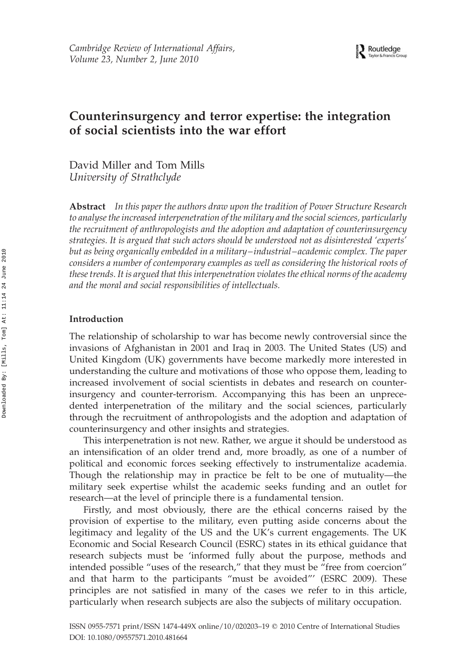# Counterinsurgency and terror expertise: the integration of social scientists into the war effort

David Miller and Tom Mills University of Strathclyde

Abstract In this paper the authors draw upon the tradition of Power Structure Research to analyse the increased interpenetration of the military and the social sciences, particularly the recruitment of anthropologists and the adoption and adaptation of counterinsurgency strategies. It is argued that such actors should be understood not as disinterested 'experts' but as being organically embedded in a military–industrial–academic complex. The paper considers a number of contemporary examples as well as considering the historical roots of these trends. It is argued that this interpenetration violates the ethical norms of the academy and the moral and social responsibilities of intellectuals.

# Introduction

The relationship of scholarship to war has become newly controversial since the invasions of Afghanistan in 2001 and Iraq in 2003. The United States (US) and United Kingdom (UK) governments have become markedly more interested in understanding the culture and motivations of those who oppose them, leading to increased involvement of social scientists in debates and research on counterinsurgency and counter-terrorism. Accompanying this has been an unprecedented interpenetration of the military and the social sciences, particularly through the recruitment of anthropologists and the adoption and adaptation of counterinsurgency and other insights and strategies.

This interpenetration is not new. Rather, we argue it should be understood as an intensification of an older trend and, more broadly, as one of a number of political and economic forces seeking effectively to instrumentalize academia. Though the relationship may in practice be felt to be one of mutuality—the military seek expertise whilst the academic seeks funding and an outlet for research—at the level of principle there is a fundamental tension.

Firstly, and most obviously, there are the ethical concerns raised by the provision of expertise to the military, even putting aside concerns about the legitimacy and legality of the US and the UK's current engagements. The UK Economic and Social Research Council (ESRC) states in its ethical guidance that research subjects must be 'informed fully about the purpose, methods and intended possible "uses of the research," that they must be "free from coercion" and that harm to the participants "must be avoided"' (ESRC 2009). These principles are not satisfied in many of the cases we refer to in this article, particularly when research subjects are also the subjects of military occupation.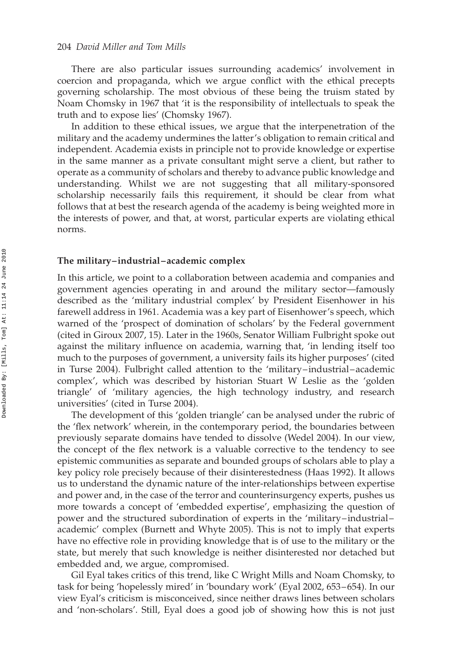There are also particular issues surrounding academics' involvement in coercion and propaganda, which we argue conflict with the ethical precepts governing scholarship. The most obvious of these being the truism stated by Noam Chomsky in 1967 that 'it is the responsibility of intellectuals to speak the truth and to expose lies' (Chomsky 1967).

In addition to these ethical issues, we argue that the interpenetration of the military and the academy undermines the latter's obligation to remain critical and independent. Academia exists in principle not to provide knowledge or expertise in the same manner as a private consultant might serve a client, but rather to operate as a community of scholars and thereby to advance public knowledge and understanding. Whilst we are not suggesting that all military-sponsored scholarship necessarily fails this requirement, it should be clear from what follows that at best the research agenda of the academy is being weighted more in the interests of power, and that, at worst, particular experts are violating ethical norms.

## The military– industrial –academic complex

In this article, we point to a collaboration between academia and companies and government agencies operating in and around the military sector—famously described as the 'military industrial complex' by President Eisenhower in his farewell address in 1961. Academia was a key part of Eisenhower's speech, which warned of the 'prospect of domination of scholars' by the Federal government (cited in Giroux 2007, 15). Later in the 1960s, Senator William Fulbright spoke out against the military influence on academia, warning that, 'in lending itself too much to the purposes of government, a university fails its higher purposes' (cited in Turse 2004). Fulbright called attention to the 'military–industrial–academic complex', which was described by historian Stuart W Leslie as the 'golden triangle' of 'military agencies, the high technology industry, and research universities' (cited in Turse 2004).

The development of this 'golden triangle' can be analysed under the rubric of the 'flex network' wherein, in the contemporary period, the boundaries between previously separate domains have tended to dissolve (Wedel 2004). In our view, the concept of the flex network is a valuable corrective to the tendency to see epistemic communities as separate and bounded groups of scholars able to play a key policy role precisely because of their disinterestedness (Haas 1992). It allows us to understand the dynamic nature of the inter-relationships between expertise and power and, in the case of the terror and counterinsurgency experts, pushes us more towards a concept of 'embedded expertise', emphasizing the question of power and the structured subordination of experts in the 'military–industrial– academic' complex (Burnett and Whyte 2005). This is not to imply that experts have no effective role in providing knowledge that is of use to the military or the state, but merely that such knowledge is neither disinterested nor detached but embedded and, we argue, compromised.

Gil Eyal takes critics of this trend, like C Wright Mills and Noam Chomsky, to task for being 'hopelessly mired' in 'boundary work' (Eyal 2002, 653–654). In our view Eyal's criticism is misconceived, since neither draws lines between scholars and 'non-scholars'. Still, Eyal does a good job of showing how this is not just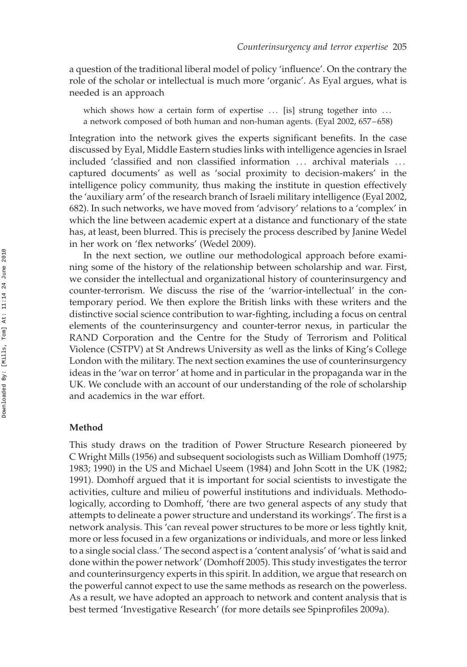a question of the traditional liberal model of policy 'influence'. On the contrary the role of the scholar or intellectual is much more 'organic'. As Eyal argues, what is needed is an approach

which shows how a certain form of expertise ... [is] strung together into ... a network composed of both human and non-human agents. (Eyal 2002, 657–658)

Integration into the network gives the experts significant benefits. In the case discussed by Eyal, Middle Eastern studies links with intelligence agencies in Israel included 'classified and non classified information ... archival materials ... captured documents' as well as 'social proximity to decision-makers' in the intelligence policy community, thus making the institute in question effectively the 'auxiliary arm' of the research branch of Israeli military intelligence (Eyal 2002, 682). In such networks, we have moved from 'advisory' relations to a 'complex' in which the line between academic expert at a distance and functionary of the state has, at least, been blurred. This is precisely the process described by Janine Wedel in her work on 'flex networks' (Wedel 2009).

In the next section, we outline our methodological approach before examining some of the history of the relationship between scholarship and war. First, we consider the intellectual and organizational history of counterinsurgency and counter-terrorism. We discuss the rise of the 'warrior-intellectual' in the contemporary period. We then explore the British links with these writers and the distinctive social science contribution to war-fighting, including a focus on central elements of the counterinsurgency and counter-terror nexus, in particular the RAND Corporation and the Centre for the Study of Terrorism and Political Violence (CSTPV) at St Andrews University as well as the links of King's College London with the military. The next section examines the use of counterinsurgency ideas in the 'war on terror' at home and in particular in the propaganda war in the UK. We conclude with an account of our understanding of the role of scholarship and academics in the war effort.

#### Method

This study draws on the tradition of Power Structure Research pioneered by C Wright Mills (1956) and subsequent sociologists such as William Domhoff (1975; 1983; 1990) in the US and Michael Useem (1984) and John Scott in the UK (1982; 1991). Domhoff argued that it is important for social scientists to investigate the activities, culture and milieu of powerful institutions and individuals. Methodologically, according to Domhoff, 'there are two general aspects of any study that attempts to delineate a power structure and understand its workings'. The first is a network analysis. This 'can reveal power structures to be more or less tightly knit, more or less focused in a few organizations or individuals, and more or less linked to a single social class.' The second aspect is a 'content analysis' of 'what is said and done within the power network' (Domhoff 2005). This study investigates the terror and counterinsurgency experts in this spirit. In addition, we argue that research on the powerful cannot expect to use the same methods as research on the powerless. As a result, we have adopted an approach to network and content analysis that is best termed 'Investigative Research' (for more details see Spinprofiles 2009a).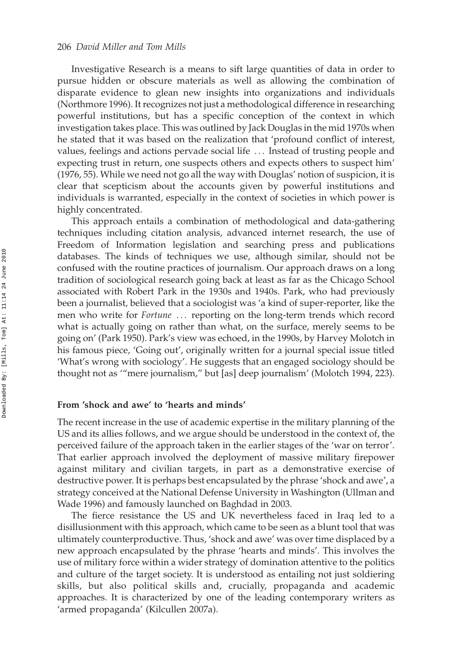#### 206 David Miller and Tom Mills

Investigative Research is a means to sift large quantities of data in order to pursue hidden or obscure materials as well as allowing the combination of disparate evidence to glean new insights into organizations and individuals (Northmore 1996). It recognizes not just a methodological difference in researching powerful institutions, but has a specific conception of the context in which investigation takes place. This was outlined by Jack Douglas in the mid 1970s when he stated that it was based on the realization that 'profound conflict of interest, values, feelings and actions pervade social life ... Instead of trusting people and expecting trust in return, one suspects others and expects others to suspect him' (1976, 55). While we need not go all the way with Douglas' notion of suspicion, it is clear that scepticism about the accounts given by powerful institutions and individuals is warranted, especially in the context of societies in which power is highly concentrated.

This approach entails a combination of methodological and data-gathering techniques including citation analysis, advanced internet research, the use of Freedom of Information legislation and searching press and publications databases. The kinds of techniques we use, although similar, should not be confused with the routine practices of journalism. Our approach draws on a long tradition of sociological research going back at least as far as the Chicago School associated with Robert Park in the 1930s and 1940s. Park, who had previously been a journalist, believed that a sociologist was 'a kind of super-reporter, like the men who write for Fortune ... reporting on the long-term trends which record what is actually going on rather than what, on the surface, merely seems to be going on' (Park 1950). Park's view was echoed, in the 1990s, by Harvey Molotch in his famous piece, 'Going out', originally written for a journal special issue titled 'What's wrong with sociology'. He suggests that an engaged sociology should be thought not as '"mere journalism," but [as] deep journalism' (Molotch 1994, 223).

#### From 'shock and awe' to 'hearts and minds'

The recent increase in the use of academic expertise in the military planning of the US and its allies follows, and we argue should be understood in the context of, the perceived failure of the approach taken in the earlier stages of the 'war on terror'. That earlier approach involved the deployment of massive military firepower against military and civilian targets, in part as a demonstrative exercise of destructive power. It is perhaps best encapsulated by the phrase 'shock and awe', a strategy conceived at the National Defense University in Washington (Ullman and Wade 1996) and famously launched on Baghdad in 2003.

The fierce resistance the US and UK nevertheless faced in Iraq led to a disillusionment with this approach, which came to be seen as a blunt tool that was ultimately counterproductive. Thus, 'shock and awe' was over time displaced by a new approach encapsulated by the phrase 'hearts and minds'. This involves the use of military force within a wider strategy of domination attentive to the politics and culture of the target society. It is understood as entailing not just soldiering skills, but also political skills and, crucially, propaganda and academic approaches. It is characterized by one of the leading contemporary writers as 'armed propaganda' (Kilcullen 2007a).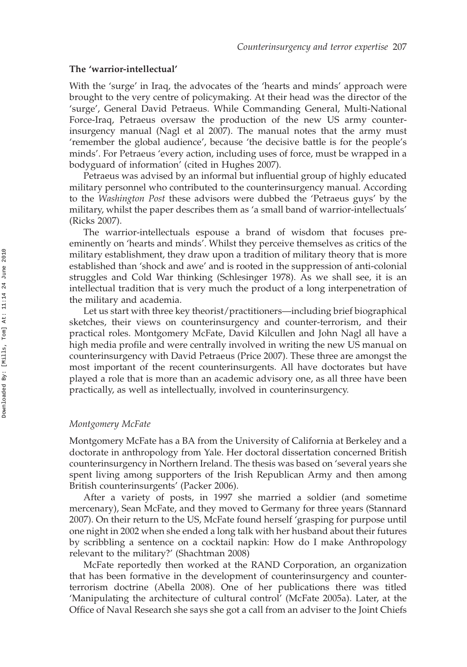#### The 'warrior-intellectual'

With the 'surge' in Iraq, the advocates of the 'hearts and minds' approach were brought to the very centre of policymaking. At their head was the director of the 'surge', General David Petraeus. While Commanding General, Multi-National Force-Iraq, Petraeus oversaw the production of the new US army counterinsurgency manual (Nagl et al 2007). The manual notes that the army must 'remember the global audience', because 'the decisive battle is for the people's minds'. For Petraeus 'every action, including uses of force, must be wrapped in a bodyguard of information' (cited in Hughes 2007).

Petraeus was advised by an informal but influential group of highly educated military personnel who contributed to the counterinsurgency manual. According to the Washington Post these advisors were dubbed the 'Petraeus guys' by the military, whilst the paper describes them as 'a small band of warrior-intellectuals' (Ricks 2007).

The warrior-intellectuals espouse a brand of wisdom that focuses preeminently on 'hearts and minds'. Whilst they perceive themselves as critics of the military establishment, they draw upon a tradition of military theory that is more established than 'shock and awe' and is rooted in the suppression of anti-colonial struggles and Cold War thinking (Schlesinger 1978). As we shall see, it is an intellectual tradition that is very much the product of a long interpenetration of the military and academia.

Let us start with three key theorist/practitioners—including brief biographical sketches, their views on counterinsurgency and counter-terrorism, and their practical roles. Montgomery McFate, David Kilcullen and John Nagl all have a high media profile and were centrally involved in writing the new US manual on counterinsurgency with David Petraeus (Price 2007). These three are amongst the most important of the recent counterinsurgents. All have doctorates but have played a role that is more than an academic advisory one, as all three have been practically, as well as intellectually, involved in counterinsurgency.

#### Montgomery McFate

Montgomery McFate has a BA from the University of California at Berkeley and a doctorate in anthropology from Yale. Her doctoral dissertation concerned British counterinsurgency in Northern Ireland. The thesis was based on 'several years she spent living among supporters of the Irish Republican Army and then among British counterinsurgents' (Packer 2006).

After a variety of posts, in 1997 she married a soldier (and sometime mercenary), Sean McFate, and they moved to Germany for three years (Stannard 2007). On their return to the US, McFate found herself 'grasping for purpose until one night in 2002 when she ended a long talk with her husband about their futures by scribbling a sentence on a cocktail napkin: How do I make Anthropology relevant to the military?' (Shachtman 2008)

McFate reportedly then worked at the RAND Corporation, an organization that has been formative in the development of counterinsurgency and counterterrorism doctrine (Abella 2008). One of her publications there was titled 'Manipulating the architecture of cultural control' (McFate 2005a). Later, at the Office of Naval Research she says she got a call from an adviser to the Joint Chiefs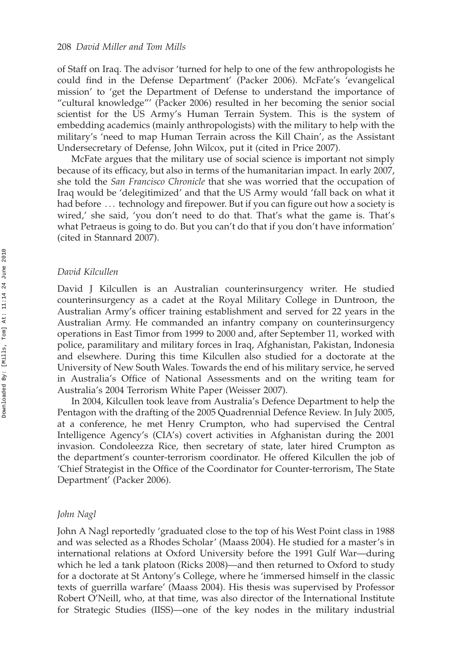of Staff on Iraq. The advisor 'turned for help to one of the few anthropologists he could find in the Defense Department' (Packer 2006). McFate's 'evangelical mission' to 'get the Department of Defense to understand the importance of "cultural knowledge"' (Packer 2006) resulted in her becoming the senior social scientist for the US Army's Human Terrain System. This is the system of embedding academics (mainly anthropologists) with the military to help with the military's 'need to map Human Terrain across the Kill Chain', as the Assistant Undersecretary of Defense, John Wilcox, put it (cited in Price 2007).

McFate argues that the military use of social science is important not simply because of its efficacy, but also in terms of the humanitarian impact. In early 2007, she told the San Francisco Chronicle that she was worried that the occupation of Iraq would be 'delegitimized' and that the US Army would 'fall back on what it had before ... technology and firepower. But if you can figure out how a society is wired,' she said, 'you don't need to do that. That's what the game is. That's what Petraeus is going to do. But you can't do that if you don't have information' (cited in Stannard 2007).

#### David Kilcullen

David J Kilcullen is an Australian counterinsurgency writer. He studied counterinsurgency as a cadet at the Royal Military College in Duntroon, the Australian Army's officer training establishment and served for 22 years in the Australian Army. He commanded an infantry company on counterinsurgency operations in East Timor from 1999 to 2000 and, after September 11, worked with police, paramilitary and military forces in Iraq, Afghanistan, Pakistan, Indonesia and elsewhere. During this time Kilcullen also studied for a doctorate at the University of New South Wales. Towards the end of his military service, he served in Australia's Office of National Assessments and on the writing team for Australia's 2004 Terrorism White Paper (Weisser 2007).

In 2004, Kilcullen took leave from Australia's Defence Department to help the Pentagon with the drafting of the 2005 Quadrennial Defence Review. In July 2005, at a conference, he met Henry Crumpton, who had supervised the Central Intelligence Agency's (CIA's) covert activities in Afghanistan during the 2001 invasion. Condoleezza Rice, then secretary of state, later hired Crumpton as the department's counter-terrorism coordinator. He offered Kilcullen the job of 'Chief Strategist in the Office of the Coordinator for Counter-terrorism, The State Department' (Packer 2006).

#### John Nagl

John A Nagl reportedly 'graduated close to the top of his West Point class in 1988 and was selected as a Rhodes Scholar' (Maass 2004). He studied for a master's in international relations at Oxford University before the 1991 Gulf War—during which he led a tank platoon (Ricks 2008)—and then returned to Oxford to study for a doctorate at St Antony's College, where he 'immersed himself in the classic texts of guerrilla warfare' (Maass 2004). His thesis was supervised by Professor Robert O'Neill, who, at that time, was also director of the International Institute for Strategic Studies (IISS)—one of the key nodes in the military industrial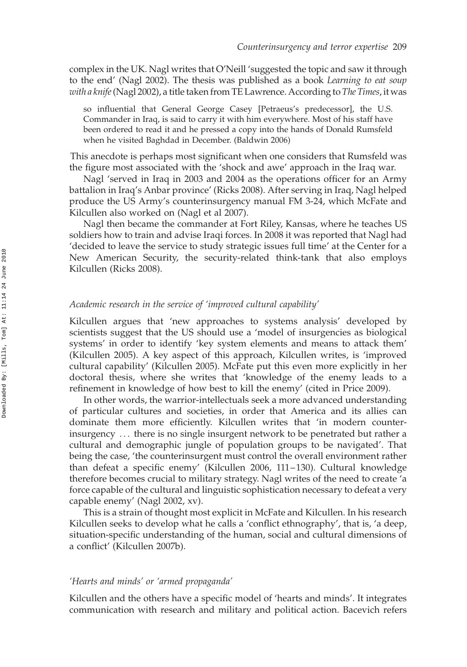complex in the UK. Nagl writes that O'Neill 'suggested the topic and saw it through to the end' (Nagl 2002). The thesis was published as a book Learning to eat soup with a knife (Nagl 2002), a title taken from TE Lawrence. According to The Times, it was

so influential that General George Casey [Petraeus's predecessor], the U.S. Commander in Iraq, is said to carry it with him everywhere. Most of his staff have been ordered to read it and he pressed a copy into the hands of Donald Rumsfeld when he visited Baghdad in December. (Baldwin 2006)

This anecdote is perhaps most significant when one considers that Rumsfeld was the figure most associated with the 'shock and awe' approach in the Iraq war.

Nagl 'served in Iraq in 2003 and 2004 as the operations officer for an Army battalion in Iraq's Anbar province' (Ricks 2008). After serving in Iraq, Nagl helped produce the US Army's counterinsurgency manual FM 3-24, which McFate and Kilcullen also worked on (Nagl et al 2007).

Nagl then became the commander at Fort Riley, Kansas, where he teaches US soldiers how to train and advise Iraqi forces. In 2008 it was reported that Nagl had 'decided to leave the service to study strategic issues full time' at the Center for a New American Security, the security-related think-tank that also employs Kilcullen (Ricks 2008).

## Academic research in the service of 'improved cultural capability'

Kilcullen argues that 'new approaches to systems analysis' developed by scientists suggest that the US should use a 'model of insurgencies as biological systems' in order to identify 'key system elements and means to attack them' (Kilcullen 2005). A key aspect of this approach, Kilcullen writes, is 'improved cultural capability' (Kilcullen 2005). McFate put this even more explicitly in her doctoral thesis, where she writes that 'knowledge of the enemy leads to a refinement in knowledge of how best to kill the enemy' (cited in Price 2009).

In other words, the warrior-intellectuals seek a more advanced understanding of particular cultures and societies, in order that America and its allies can dominate them more efficiently. Kilcullen writes that 'in modern counterinsurgency ... there is no single insurgent network to be penetrated but rather a cultural and demographic jungle of population groups to be navigated'. That being the case, 'the counterinsurgent must control the overall environment rather than defeat a specific enemy' (Kilcullen 2006, 111–130). Cultural knowledge therefore becomes crucial to military strategy. Nagl writes of the need to create 'a force capable of the cultural and linguistic sophistication necessary to defeat a very capable enemy' (Nagl 2002, xv).

This is a strain of thought most explicit in McFate and Kilcullen. In his research Kilcullen seeks to develop what he calls a 'conflict ethnography', that is, 'a deep, situation-specific understanding of the human, social and cultural dimensions of a conflict' (Kilcullen 2007b).

#### 'Hearts and minds' or 'armed propaganda'

Kilcullen and the others have a specific model of 'hearts and minds'. It integrates communication with research and military and political action. Bacevich refers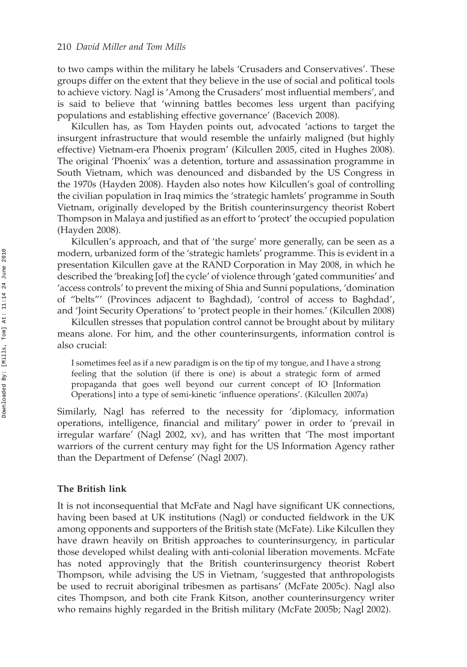to two camps within the military he labels 'Crusaders and Conservatives'. These groups differ on the extent that they believe in the use of social and political tools to achieve victory. Nagl is 'Among the Crusaders' most influential members', and is said to believe that 'winning battles becomes less urgent than pacifying populations and establishing effective governance' (Bacevich 2008).

Kilcullen has, as Tom Hayden points out, advocated 'actions to target the insurgent infrastructure that would resemble the unfairly maligned (but highly effective) Vietnam-era Phoenix program' (Kilcullen 2005, cited in Hughes 2008). The original 'Phoenix' was a detention, torture and assassination programme in South Vietnam, which was denounced and disbanded by the US Congress in the 1970s (Hayden 2008). Hayden also notes how Kilcullen's goal of controlling the civilian population in Iraq mimics the 'strategic hamlets' programme in South Vietnam, originally developed by the British counterinsurgency theorist Robert Thompson in Malaya and justified as an effort to 'protect' the occupied population (Hayden 2008).

Kilcullen's approach, and that of 'the surge' more generally, can be seen as a modern, urbanized form of the 'strategic hamlets' programme. This is evident in a presentation Kilcullen gave at the RAND Corporation in May 2008, in which he described the 'breaking [of] the cycle' of violence through 'gated communities' and 'access controls' to prevent the mixing of Shia and Sunni populations, 'domination of "belts"' (Provinces adjacent to Baghdad), 'control of access to Baghdad', and 'Joint Security Operations' to 'protect people in their homes.' (Kilcullen 2008)

Kilcullen stresses that population control cannot be brought about by military means alone. For him, and the other counterinsurgents, information control is also crucial:

I sometimes feel as if a new paradigm is on the tip of my tongue, and I have a strong feeling that the solution (if there is one) is about a strategic form of armed propaganda that goes well beyond our current concept of IO [Information Operations] into a type of semi-kinetic 'influence operations'. (Kilcullen 2007a)

Similarly, Nagl has referred to the necessity for 'diplomacy, information operations, intelligence, financial and military' power in order to 'prevail in irregular warfare' (Nagl 2002, xv), and has written that 'The most important warriors of the current century may fight for the US Information Agency rather than the Department of Defense' (Nagl 2007).

#### The British link

It is not inconsequential that McFate and Nagl have significant UK connections, having been based at UK institutions (Nagl) or conducted fieldwork in the UK among opponents and supporters of the British state (McFate). Like Kilcullen they have drawn heavily on British approaches to counterinsurgency, in particular those developed whilst dealing with anti-colonial liberation movements. McFate has noted approvingly that the British counterinsurgency theorist Robert Thompson, while advising the US in Vietnam, 'suggested that anthropologists be used to recruit aboriginal tribesmen as partisans' (McFate 2005c). Nagl also cites Thompson, and both cite Frank Kitson, another counterinsurgency writer who remains highly regarded in the British military (McFate 2005b; Nagl 2002).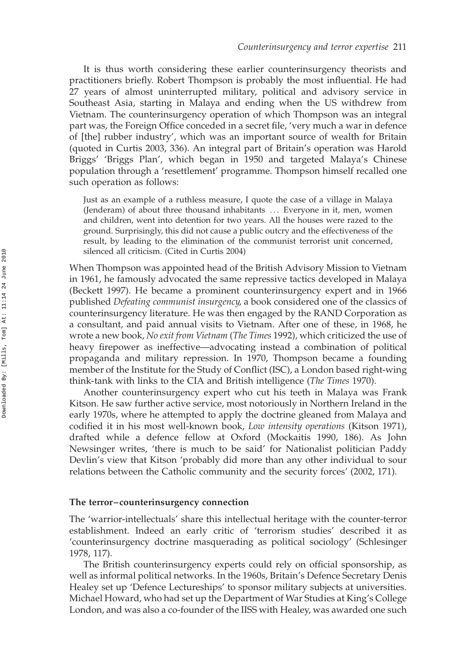It is thus worth considering these earlier counterinsurgency theorists and practitioners briefly. Robert Thompson is probably the most influential. He had 27 years of almost uninterrupted military, political and advisory service in Southeast Asia, starting in Malaya and ending when the US withdrew from Vietnam. The counterinsurgency operation of which Thompson was an integral part was, the Foreign Office conceded in a secret file, 'very much a war in defence of [the] rubber industry', which was an important source of wealth for Britain (quoted in Curtis 2003, 336). An integral part of Britain's operation was Harold Briggs' 'Briggs Plan', which began in 1950 and targeted Malaya's Chinese population through a 'resettlement' programme. Thompson himself recalled one such operation as follows:

Just as an example of a ruthless measure, I quote the case of a village in Malaya (Jenderam) of about three thousand inhabitants ... Everyone in it, men, women and children, went into detention for two years. All the houses were razed to the ground. Surprisingly, this did not cause a public outcry and the effectiveness of the result, by leading to the elimination of the communist terrorist unit concerned, silenced all criticism. (Cited in Curtis 2004)

When Thompson was appointed head of the British Advisory Mission to Vietnam in 1961, he famously advocated the same repressive tactics developed in Malaya (Beckett 1997). He became a prominent counterinsurgency expert and in 1966 published Defeating communist insurgency, a book considered one of the classics of counterinsurgency literature. He was then engaged by the RAND Corporation as a consultant, and paid annual visits to Vietnam. After one of these, in 1968, he wrote a new book, No exit from Vietnam (The Times 1992), which criticized the use of heavy firepower as ineffective—advocating instead a combination of political propaganda and military repression. In 1970, Thompson became a founding member of the Institute for the Study of Conflict (ISC), a London based right-wing think-tank with links to the CIA and British intelligence (The Times 1970).

Another counterinsurgency expert who cut his teeth in Malaya was Frank Kitson. He saw further active service, most notoriously in Northern Ireland in the early 1970s, where he attempted to apply the doctrine gleaned from Malaya and codified it in his most well-known book, Low intensity operations (Kitson 1971), drafted while a defence fellow at Oxford (Mockaitis 1990, 186). As John Newsinger writes, 'there is much to be said' for Nationalist politician Paddy Devlin's view that Kitson 'probably did more than any other individual to sour relations between the Catholic community and the security forces' (2002, 171).

#### The terror–counterinsurgency connection

The 'warrior-intellectuals' share this intellectual heritage with the counter-terror establishment. Indeed an early critic of 'terrorism studies' described it as 'counterinsurgency doctrine masquerading as political sociology' (Schlesinger 1978, 117).

The British counterinsurgency experts could rely on official sponsorship, as well as informal political networks. In the 1960s, Britain's Defence Secretary Denis Healey set up 'Defence Lectureships' to sponsor military subjects at universities. Michael Howard, who had set up the Department of War Studies at King's College London, and was also a co-founder of the IISS with Healey, was awarded one such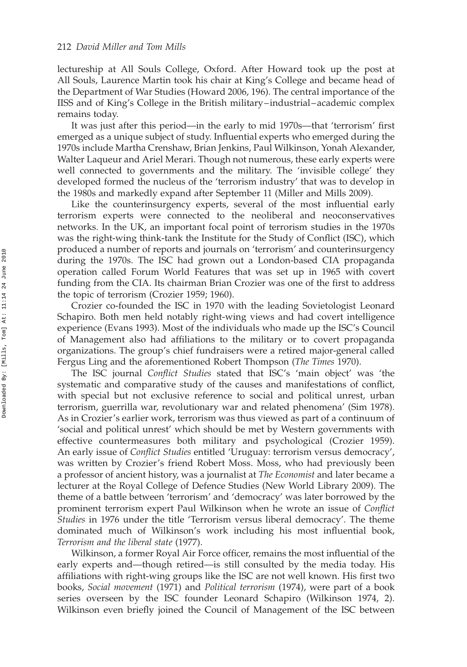lectureship at All Souls College, Oxford. After Howard took up the post at All Souls, Laurence Martin took his chair at King's College and became head of the Department of War Studies (Howard 2006, 196). The central importance of the IISS and of King's College in the British military–industrial–academic complex remains today.

It was just after this period—in the early to mid 1970s—that 'terrorism' first emerged as a unique subject of study. Influential experts who emerged during the 1970s include Martha Crenshaw, Brian Jenkins, Paul Wilkinson, Yonah Alexander, Walter Laqueur and Ariel Merari. Though not numerous, these early experts were well connected to governments and the military. The 'invisible college' they developed formed the nucleus of the 'terrorism industry' that was to develop in the 1980s and markedly expand after September 11 (Miller and Mills 2009).

Like the counterinsurgency experts, several of the most influential early terrorism experts were connected to the neoliberal and neoconservatives networks. In the UK, an important focal point of terrorism studies in the 1970s was the right-wing think-tank the Institute for the Study of Conflict (ISC), which produced a number of reports and journals on 'terrorism' and counterinsurgency during the 1970s. The ISC had grown out a London-based CIA propaganda operation called Forum World Features that was set up in 1965 with covert funding from the CIA. Its chairman Brian Crozier was one of the first to address the topic of terrorism (Crozier 1959; 1960).

Crozier co-founded the ISC in 1970 with the leading Sovietologist Leonard Schapiro. Both men held notably right-wing views and had covert intelligence experience (Evans 1993). Most of the individuals who made up the ISC's Council of Management also had affiliations to the military or to covert propaganda organizations. The group's chief fundraisers were a retired major-general called Fergus Ling and the aforementioned Robert Thompson (The Times 1970).

The ISC journal Conflict Studies stated that ISC's 'main object' was 'the systematic and comparative study of the causes and manifestations of conflict, with special but not exclusive reference to social and political unrest, urban terrorism, guerrilla war, revolutionary war and related phenomena' (Sim 1978). As in Crozier's earlier work, terrorism was thus viewed as part of a continuum of 'social and political unrest' which should be met by Western governments with effective countermeasures both military and psychological (Crozier 1959). An early issue of Conflict Studies entitled 'Uruguay: terrorism versus democracy', was written by Crozier's friend Robert Moss. Moss, who had previously been a professor of ancient history, was a journalist at The Economist and later became a lecturer at the Royal College of Defence Studies (New World Library 2009). The theme of a battle between 'terrorism' and 'democracy' was later borrowed by the prominent terrorism expert Paul Wilkinson when he wrote an issue of Conflict Studies in 1976 under the title 'Terrorism versus liberal democracy'. The theme dominated much of Wilkinson's work including his most influential book, Terrorism and the liberal state (1977).

Wilkinson, a former Royal Air Force officer, remains the most influential of the early experts and—though retired—is still consulted by the media today. His affiliations with right-wing groups like the ISC are not well known. His first two books, Social movement (1971) and Political terrorism (1974), were part of a book series overseen by the ISC founder Leonard Schapiro (Wilkinson 1974, 2). Wilkinson even briefly joined the Council of Management of the ISC between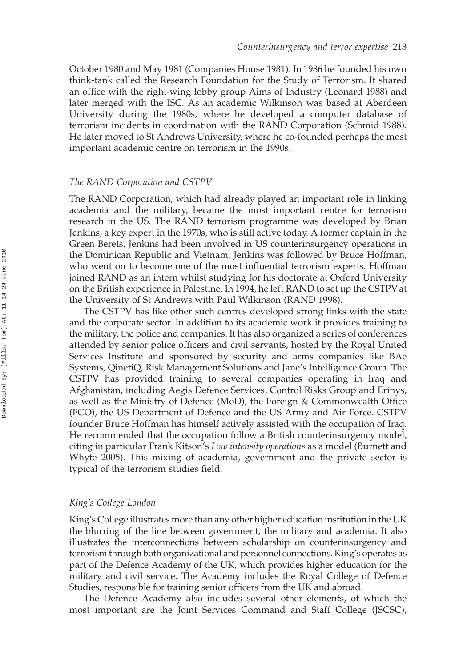October 1980 and May 1981 (Companies House 1981). In 1986 he founded his own think-tank called the Research Foundation for the Study of Terrorism. It shared an office with the right-wing lobby group Aims of Industry (Leonard 1988) and later merged with the ISC. As an academic Wilkinson was based at Aberdeen University during the 1980s, where he developed a computer database of terrorism incidents in coordination with the RAND Corporation (Schmid 1988). He later moved to St Andrews University, where he co-founded perhaps the most important academic centre on terrorism in the 1990s.

#### The RAND Corporation and CSTPV

The RAND Corporation, which had already played an important role in linking academia and the military, became the most important centre for terrorism research in the US. The RAND terrorism programme was developed by Brian Jenkins, a key expert in the 1970s, who is still active today. A former captain in the Green Berets, Jenkins had been involved in US counterinsurgency operations in the Dominican Republic and Vietnam. Jenkins was followed by Bruce Hoffman, who went on to become one of the most influential terrorism experts. Hoffman joined RAND as an intern whilst studying for his doctorate at Oxford University on the British experience in Palestine. In 1994, he left RAND to set up the CSTPV at the University of St Andrews with Paul Wilkinson (RAND 1998).

The CSTPV has like other such centres developed strong links with the state and the corporate sector. In addition to its academic work it provides training to the military, the police and companies. It has also organized a series of conferences attended by senior police officers and civil servants, hosted by the Royal United Services Institute and sponsored by security and arms companies like BAe Systems, QinetiQ, Risk Management Solutions and Jane's Intelligence Group. The CSTPV has provided training to several companies operating in Iraq and Afghanistan, including Aegis Defence Services, Control Risks Group and Erinys, as well as the Ministry of Defence (MoD), the Foreign & Commonwealth Office (FCO), the US Department of Defence and the US Army and Air Force. CSTPV founder Bruce Hoffman has himself actively assisted with the occupation of Iraq. He recommended that the occupation follow a British counterinsurgency model, citing in particular Frank Kitson's Low intensity operations as a model (Burnett and Whyte 2005). This mixing of academia, government and the private sector is typical of the terrorism studies field.

## King's College London

King's College illustrates more than any other higher education institution in the UK the blurring of the line between government, the military and academia. It also illustrates the interconnections between scholarship on counterinsurgency and terrorism through both organizational and personnel connections. King's operates as part of the Defence Academy of the UK, which provides higher education for the military and civil service. The Academy includes the Royal College of Defence Studies, responsible for training senior officers from the UK and abroad.

The Defence Academy also includes several other elements, of which the most important are the Joint Services Command and Staff College (JSCSC),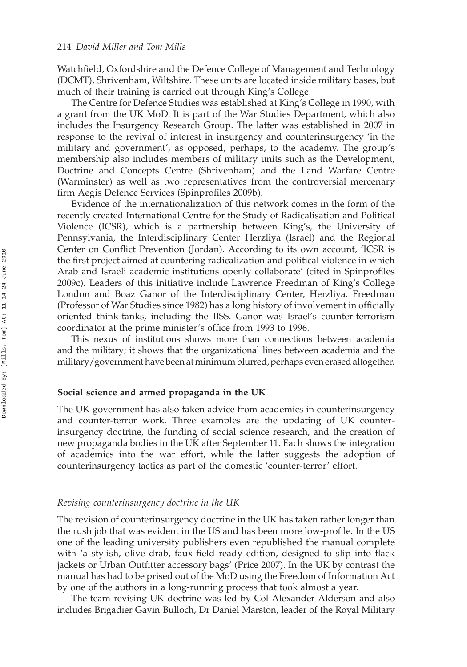Watchfield, Oxfordshire and the Defence College of Management and Technology (DCMT), Shrivenham, Wiltshire. These units are located inside military bases, but much of their training is carried out through King's College.

The Centre for Defence Studies was established at King's College in 1990, with a grant from the UK MoD. It is part of the War Studies Department, which also includes the Insurgency Research Group. The latter was established in 2007 in response to the revival of interest in insurgency and counterinsurgency 'in the military and government', as opposed, perhaps, to the academy. The group's membership also includes members of military units such as the Development, Doctrine and Concepts Centre (Shrivenham) and the Land Warfare Centre (Warminster) as well as two representatives from the controversial mercenary firm Aegis Defence Services (Spinprofiles 2009b).

Evidence of the internationalization of this network comes in the form of the recently created International Centre for the Study of Radicalisation and Political Violence (ICSR), which is a partnership between King's, the University of Pennsylvania, the Interdisciplinary Center Herzliya (Israel) and the Regional Center on Conflict Prevention (Jordan). According to its own account, 'ICSR is the first project aimed at countering radicalization and political violence in which Arab and Israeli academic institutions openly collaborate' (cited in Spinprofiles 2009c). Leaders of this initiative include Lawrence Freedman of King's College London and Boaz Ganor of the Interdisciplinary Center, Herzliya. Freedman (Professor of War Studies since 1982) has a long history of involvement in officially oriented think-tanks, including the IISS. Ganor was Israel's counter-terrorism coordinator at the prime minister's office from 1993 to 1996.

This nexus of institutions shows more than connections between academia and the military; it shows that the organizational lines between academia and the military/government have been at minimum blurred, perhaps even erased altogether.

## Social science and armed propaganda in the UK

The UK government has also taken advice from academics in counterinsurgency and counter-terror work. Three examples are the updating of UK counterinsurgency doctrine, the funding of social science research, and the creation of new propaganda bodies in the UK after September 11. Each shows the integration of academics into the war effort, while the latter suggests the adoption of counterinsurgency tactics as part of the domestic 'counter-terror' effort.

#### Revising counterinsurgency doctrine in the UK

The revision of counterinsurgency doctrine in the UK has taken rather longer than the rush job that was evident in the US and has been more low-profile. In the US one of the leading university publishers even republished the manual complete with 'a stylish, olive drab, faux-field ready edition, designed to slip into flack jackets or Urban Outfitter accessory bags' (Price 2007). In the UK by contrast the manual has had to be prised out of the MoD using the Freedom of Information Act by one of the authors in a long-running process that took almost a year.

The team revising UK doctrine was led by Col Alexander Alderson and also includes Brigadier Gavin Bulloch, Dr Daniel Marston, leader of the Royal Military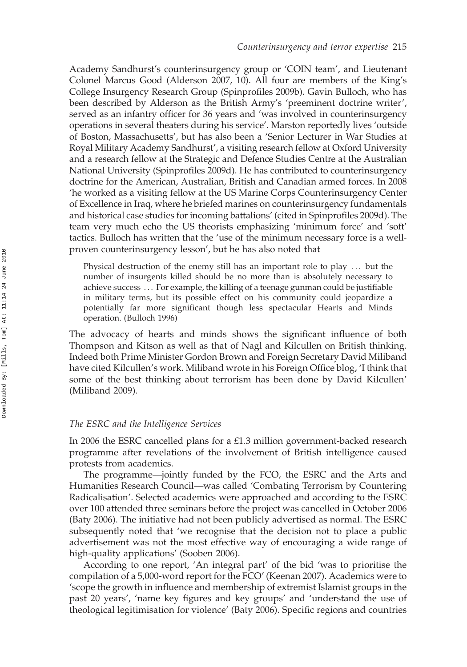Academy Sandhurst's counterinsurgency group or 'COIN team', and Lieutenant Colonel Marcus Good (Alderson 2007, 10). All four are members of the King's College Insurgency Research Group (Spinprofiles 2009b). Gavin Bulloch, who has been described by Alderson as the British Army's 'preeminent doctrine writer', served as an infantry officer for 36 years and 'was involved in counterinsurgency operations in several theaters during his service'. Marston reportedly lives 'outside of Boston, Massachusetts', but has also been a 'Senior Lecturer in War Studies at Royal Military Academy Sandhurst', a visiting research fellow at Oxford University and a research fellow at the Strategic and Defence Studies Centre at the Australian National University (Spinprofiles 2009d). He has contributed to counterinsurgency doctrine for the American, Australian, British and Canadian armed forces. In 2008 'he worked as a visiting fellow at the US Marine Corps Counterinsurgency Center of Excellence in Iraq, where he briefed marines on counterinsurgency fundamentals and historical case studies for incoming battalions' (cited in Spinprofiles 2009d). The team very much echo the US theorists emphasizing 'minimum force' and 'soft' tactics. Bulloch has written that the 'use of the minimum necessary force is a wellproven counterinsurgency lesson', but he has also noted that

Physical destruction of the enemy still has an important role to play ... but the number of insurgents killed should be no more than is absolutely necessary to achieve success ... For example, the killing of a teenage gunman could be justifiable in military terms, but its possible effect on his community could jeopardize a potentially far more significant though less spectacular Hearts and Minds operation. (Bulloch 1996)

The advocacy of hearts and minds shows the significant influence of both Thompson and Kitson as well as that of Nagl and Kilcullen on British thinking. Indeed both Prime Minister Gordon Brown and Foreign Secretary David Miliband have cited Kilcullen's work. Miliband wrote in his Foreign Office blog, 'I think that some of the best thinking about terrorism has been done by David Kilcullen' (Miliband 2009).

## The ESRC and the Intelligence Services

In 2006 the ESRC cancelled plans for a £1.3 million government-backed research programme after revelations of the involvement of British intelligence caused protests from academics.

The programme—jointly funded by the FCO, the ESRC and the Arts and Humanities Research Council—was called 'Combating Terrorism by Countering Radicalisation'. Selected academics were approached and according to the ESRC over 100 attended three seminars before the project was cancelled in October 2006 (Baty 2006). The initiative had not been publicly advertised as normal. The ESRC subsequently noted that 'we recognise that the decision not to place a public advertisement was not the most effective way of encouraging a wide range of high-quality applications' (Sooben 2006).

According to one report, 'An integral part' of the bid 'was to prioritise the compilation of a 5,000-word report for the FCO' (Keenan 2007). Academics were to 'scope the growth in influence and membership of extremist Islamist groups in the past 20 years', 'name key figures and key groups' and 'understand the use of theological legitimisation for violence' (Baty 2006). Specific regions and countries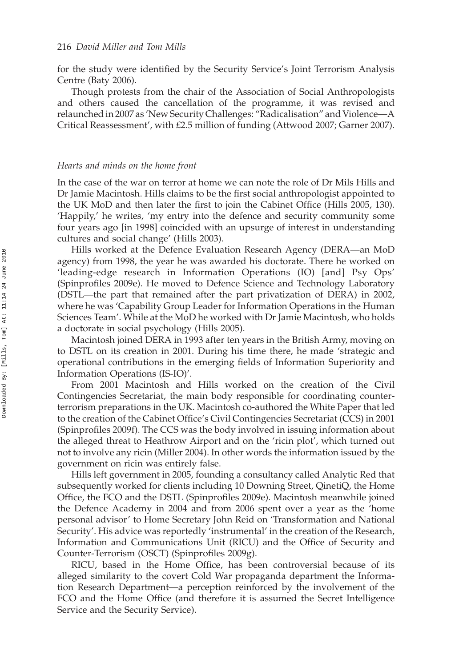for the study were identified by the Security Service's Joint Terrorism Analysis Centre (Baty 2006).

Though protests from the chair of the Association of Social Anthropologists and others caused the cancellation of the programme, it was revised and relaunched in 2007 as 'New Security Challenges: "Radicalisation" and Violence—A Critical Reassessment', with £2.5 million of funding (Attwood 2007; Garner 2007).

#### Hearts and minds on the home front

In the case of the war on terror at home we can note the role of Dr Mils Hills and Dr Jamie Macintosh. Hills claims to be the first social anthropologist appointed to the UK MoD and then later the first to join the Cabinet Office (Hills 2005, 130). 'Happily,' he writes, 'my entry into the defence and security community some four years ago [in 1998] coincided with an upsurge of interest in understanding cultures and social change' (Hills 2003).

Hills worked at the Defence Evaluation Research Agency (DERA—an MoD agency) from 1998, the year he was awarded his doctorate. There he worked on 'leading-edge research in Information Operations (IO) [and] Psy Ops' (Spinprofiles 2009e). He moved to Defence Science and Technology Laboratory (DSTL—the part that remained after the part privatization of DERA) in 2002, where he was 'Capability Group Leader for Information Operations in the Human Sciences Team'. While at the MoD he worked with Dr Jamie Macintosh, who holds a doctorate in social psychology (Hills 2005).

Macintosh joined DERA in 1993 after ten years in the British Army, moving on to DSTL on its creation in 2001. During his time there, he made 'strategic and operational contributions in the emerging fields of Information Superiority and Information Operations (IS-IO)'.

From 2001 Macintosh and Hills worked on the creation of the Civil Contingencies Secretariat, the main body responsible for coordinating counterterrorism preparations in the UK. Macintosh co-authored the White Paper that led to the creation of the Cabinet Office's Civil Contingencies Secretariat (CCS) in 2001 (Spinprofiles 2009f). The CCS was the body involved in issuing information about the alleged threat to Heathrow Airport and on the 'ricin plot', which turned out not to involve any ricin (Miller 2004). In other words the information issued by the government on ricin was entirely false.

Hills left government in 2005, founding a consultancy called Analytic Red that subsequently worked for clients including 10 Downing Street, QinetiQ, the Home Office, the FCO and the DSTL (Spinprofiles 2009e). Macintosh meanwhile joined the Defence Academy in 2004 and from 2006 spent over a year as the 'home personal advisor' to Home Secretary John Reid on 'Transformation and National Security'. His advice was reportedly 'instrumental' in the creation of the Research, Information and Communications Unit (RICU) and the Office of Security and Counter-Terrorism (OSCT) (Spinprofiles 2009g).

RICU, based in the Home Office, has been controversial because of its alleged similarity to the covert Cold War propaganda department the Information Research Department—a perception reinforced by the involvement of the FCO and the Home Office (and therefore it is assumed the Secret Intelligence Service and the Security Service).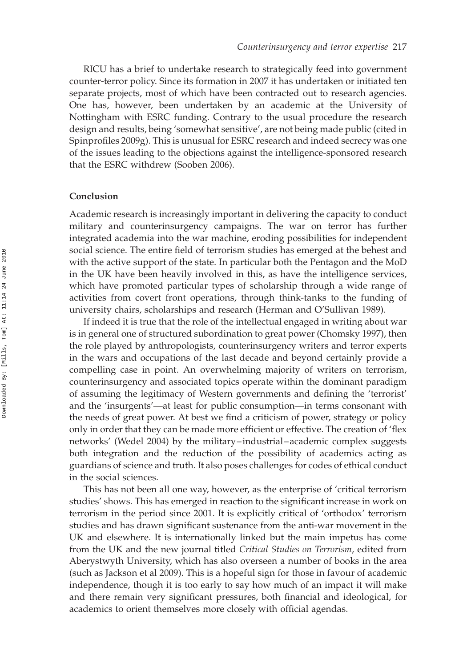RICU has a brief to undertake research to strategically feed into government counter-terror policy. Since its formation in 2007 it has undertaken or initiated ten separate projects, most of which have been contracted out to research agencies. One has, however, been undertaken by an academic at the University of Nottingham with ESRC funding. Contrary to the usual procedure the research design and results, being 'somewhat sensitive', are not being made public (cited in Spinprofiles 2009g). This is unusual for ESRC research and indeed secrecy was one of the issues leading to the objections against the intelligence-sponsored research that the ESRC withdrew (Sooben 2006).

## Conclusion

Academic research is increasingly important in delivering the capacity to conduct military and counterinsurgency campaigns. The war on terror has further integrated academia into the war machine, eroding possibilities for independent social science. The entire field of terrorism studies has emerged at the behest and with the active support of the state. In particular both the Pentagon and the MoD in the UK have been heavily involved in this, as have the intelligence services, which have promoted particular types of scholarship through a wide range of activities from covert front operations, through think-tanks to the funding of university chairs, scholarships and research (Herman and O'Sullivan 1989).

If indeed it is true that the role of the intellectual engaged in writing about war is in general one of structured subordination to great power (Chomsky 1997), then the role played by anthropologists, counterinsurgency writers and terror experts in the wars and occupations of the last decade and beyond certainly provide a compelling case in point. An overwhelming majority of writers on terrorism, counterinsurgency and associated topics operate within the dominant paradigm of assuming the legitimacy of Western governments and defining the 'terrorist' and the 'insurgents'—at least for public consumption—in terms consonant with the needs of great power. At best we find a criticism of power, strategy or policy only in order that they can be made more efficient or effective. The creation of 'flex networks' (Wedel 2004) by the military–industrial–academic complex suggests both integration and the reduction of the possibility of academics acting as guardians of science and truth. It also poses challenges for codes of ethical conduct in the social sciences.

This has not been all one way, however, as the enterprise of 'critical terrorism studies' shows. This has emerged in reaction to the significant increase in work on terrorism in the period since 2001. It is explicitly critical of 'orthodox' terrorism studies and has drawn significant sustenance from the anti-war movement in the UK and elsewhere. It is internationally linked but the main impetus has come from the UK and the new journal titled Critical Studies on Terrorism, edited from Aberystwyth University, which has also overseen a number of books in the area (such as Jackson et al 2009). This is a hopeful sign for those in favour of academic independence, though it is too early to say how much of an impact it will make and there remain very significant pressures, both financial and ideological, for academics to orient themselves more closely with official agendas.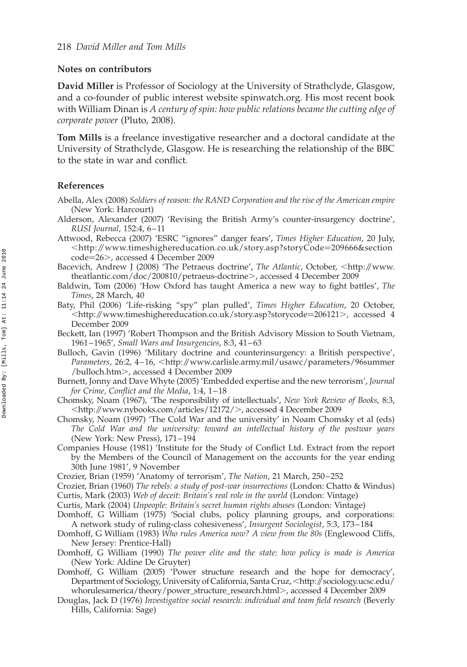#### Notes on contributors

David Miller is Professor of Sociology at the University of Strathclyde, Glasgow, and a co-founder of public interest website spinwatch.org. His most recent book with William Dinan is A century of spin: how public relations became the cutting edge of corporate power (Pluto, 2008).

Tom Mills is a freelance investigative researcher and a doctoral candidate at the University of Strathclyde, Glasgow. He is researching the relationship of the BBC to the state in war and conflict.

## References

- Abella, Alex (2008) Soldiers of reason: the RAND Corporation and the rise of the American empire (New York: Harcourt)
- Alderson, Alexander (2007) 'Revising the British Army's counter-insurgency doctrine', RUSI Journal, 152:4, 6–11
- Attwood, Rebecca (2007) 'ESRC "ignores" danger fears', Times Higher Education, 20 July, <http://www.timeshighereducation.co.uk/story.asp?storyCode=209666&section code=26>, accessed 4 December 2009
- Bacevich, Andrew J (2008) 'The Petraeus doctrine', The Atlantic, October,  $\lt$ http://www. theatlantic.com/doc/200810/petraeus-doctrine>, accessed 4 December 2009
- Baldwin, Tom (2006) 'How Oxford has taught America a new way to fight battles', The Times, 28 March, 40
- Baty, Phil (2006) 'Life-risking "spy" plan pulled', Times Higher Education, 20 October,  $\kappa$ http://www.timeshighereducation.co.uk/story.asp?storycode=206121>, accessed 4 December 2009
- Beckett, Ian (1997) 'Robert Thompson and the British Advisory Mission to South Vietnam, 1961–1965', Small Wars and Insurgencies, 8:3, 41–63
- Bulloch, Gavin (1996) 'Military doctrine and counterinsurgency: a British perspective', Parameters, 26:2, 4-16, <http://www.carlisle.army.mil/usawc/parameters/96summer /bulloch.htm>, accessed 4 December 2009
- Burnett, Jonny and Dave Whyte (2005) 'Embedded expertise and the new terrorism', Journal for Crime, Conflict and the Media, 1:4, 1–18
- Chomsky, Noam (1967), 'The responsibility of intellectuals', New York Review of Books, 8:3, <http://www.nybooks.com/articles/12172/>, accessed 4 December 2009
- Chomsky, Noam (1997) 'The Cold War and the university' in Noam Chomsky et al (eds) The Cold War and the university: toward an intellectual history of the postwar years (New York: New Press), 171–194
- Companies House (1981) 'Institute for the Study of Conflict Ltd. Extract from the report by the Members of the Council of Management on the accounts for the year ending 30th June 1981', 9 November
- Crozier, Brian (1959) 'Anatomy of terrorism', The Nation, 21 March, 250–252
- Crozier, Brian (1960) The rebels: a study of post-war insurrections (London: Chatto & Windus)
- Curtis, Mark (2003) Web of deceit: Britain's real role in the world (London: Vintage)
- Curtis, Mark (2004) Unpeople: Britain's secret human rights abuses (London: Vintage)
- Domhoff, G William (1975) 'Social clubs, policy planning groups, and corporations: A network study of ruling-class cohesiveness', Insurgent Sociologist, 5:3, 173–184
- Domhoff, G William (1983) Who rules America now? A view from the 80s (Englewood Cliffs, New Jersey: Prentice-Hall)
- Domhoff, G William (1990) The power elite and the state: how policy is made is America (New York: Aldine De Gruyter)
- Domhoff, G William (2005) 'Power structure research and the hope for democracy', Department of Sociology, University of California, Santa Cruz, <http://sociology.ucsc.edu/ whorulesamerica/theory/power\_structure\_research.html>, accessed 4 December 2009
- Douglas, Jack D (1976) Investigative social research: individual and team field research (Beverly Hills, California: Sage)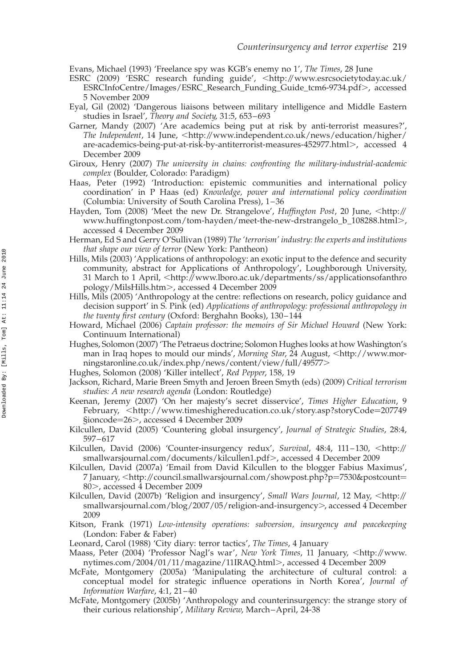Evans, Michael (1993) 'Freelance spy was KGB's enemy no 1', The Times, 28 June

- ESRC (2009) 'ESRC research funding guide', <http://www.esrcsocietytoday.ac.uk/ ESRCInfoCentre/Images/ESRC\_Research\_Funding\_Guide\_tcm6-9734.pdf>, accessed 5 November 2009
- Eyal, Gil (2002) 'Dangerous liaisons between military intelligence and Middle Eastern studies in Israel', Theory and Society, 31:5, 653–693
- Garner, Mandy (2007) 'Are academics being put at risk by anti-terrorist measures?', The Independent, 14 June, <http://www.independent.co.uk/news/education/higher/ are-academics-being-put-at-risk-by-antiterrorist-measures-452977.html>, accessed 4 December 2009
- Giroux, Henry (2007) The university in chains: confronting the military-industrial-academic complex (Boulder, Colorado: Paradigm)
- Haas, Peter (1992) 'Introduction: epistemic communities and international policy coordination' in P Haas (ed) Knowledge, power and international policy coordination (Columbia: University of South Carolina Press), 1–36
- Hayden, Tom (2008) 'Meet the new Dr. Strangelove', Huffington Post, 20 June, <http:// www.huffingtonpost.com/tom-hayden/meet-the-new-drstrangelo\_b\_108288.html>, accessed 4 December 2009
- Herman, Ed S and Gerry O'Sullivan (1989) The 'terrorism' industry: the experts and institutions that shape our view of terror (New York: Pantheon)
- Hills, Mils (2003) 'Applications of anthropology: an exotic input to the defence and security community, abstract for Applications of Anthropology', Loughborough University, 31 March to 1 April,  $\langle$ http://www.lboro.ac.uk/departments/ss/applicationsofanthro pology/MilsHills.htm>, accessed 4 December 2009
- Hills, Mils (2005) 'Anthropology at the centre: reflections on research, policy guidance and decision support' in S. Pink (ed) Applications of anthropology: professional anthropology in the twenty first century (Oxford: Berghahn Books), 130–144
- Howard, Michael (2006) Captain professor: the memoirs of Sir Michael Howard (New York: Continuum International)
- Hughes, Solomon (2007) 'The Petraeus doctrine; Solomon Hughes looks at how Washington's man in Iraq hopes to mould our minds', Morning Star, 24 August, <http://www.morningstaronline.co.uk/index.php/news/content/view/full/49577.
- Hughes, Solomon (2008) 'Killer intellect', Red Pepper, 158, 19
- Jackson, Richard, Marie Breen Smyth and Jeroen Breen Smyth (eds) (2009) Critical terrorism studies: A new research agenda (London: Routledge)
- Keenan, Jeremy (2007) 'On her majesty's secret disservice', Times Higher Education, 9 February, <http://www.timeshighereducation.co.uk/story.asp?storyCode=207749 §ioncode¼26., accessed 4 December 2009
- Kilcullen, David (2005) 'Countering global insurgency', Journal of Strategic Studies, 28:4, 597–617
- Kilcullen, David (2006) 'Counter-insurgency redux', Survival, 48:4, 111-130, <http:// smallwarsjournal.com/documents/kilcullen1.pdf>, accessed 4 December 2009
- Kilcullen, David (2007a) 'Email from David Kilcullen to the blogger Fabius Maximus', 7 January, <http://council.smallwarsjournal.com/showpost.php?p=7530&postcount= 80>, accessed 4 December 2009
- Kilcullen, David (2007b) 'Religion and insurgency', Small Wars Journal, 12 May, <http:// smallwarsjournal.com/blog/2007/05/religion-and-insurgency>, accessed 4 December 2009
- Kitson, Frank (1971) Low-intensity operations: subversion, insurgency and peacekeeping (London: Faber & Faber)
- Leonard, Carol (1988) 'City diary: terror tactics', The Times, 4 January
- Maass, Peter (2004) 'Professor Nagl's war', New York Times, 11 January, <http://www. nytimes.com/2004/01/11/magazine/11IRAQ.html>, accessed 4 December 2009
- McFate, Montgomery (2005a) 'Manipulating the architecture of cultural control: a conceptual model for strategic influence operations in North Korea', Journal of Information Warfare, 4:1, 21–40
- McFate, Montgomery (2005b) 'Anthropology and counterinsurgency: the strange story of their curious relationship', Military Review, March–April, 24-38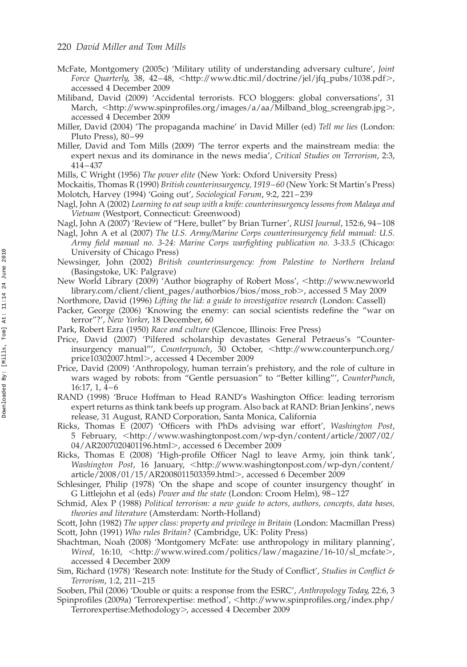- McFate, Montgomery (2005c) 'Military utility of understanding adversary culture', Joint Force Quarterly, 38, 42-48, <http://www.dtic.mil/doctrine/jel/jfq\_pubs/1038.pdf>, accessed 4 December 2009
- Miliband, David (2009) 'Accidental terrorists. FCO bloggers: global conversations', 31 March,  $\lt$ http://www.spinprofiles.org/images/a/aa/Milband\_blog\_screengrab.jpg>, accessed 4 December 2009
- Miller, David (2004) 'The propaganda machine' in David Miller (ed) Tell me lies (London: Pluto Press), 80–99
- Miller, David and Tom Mills (2009) 'The terror experts and the mainstream media: the expert nexus and its dominance in the news media', Critical Studies on Terrorism, 2:3, 414–437
- Mills, C Wright (1956) The power elite (New York: Oxford University Press)
- Mockaitis, Thomas R (1990) British counterinsurgency, 1919–60 (New York: St Martin's Press) Molotch, Harvey (1994) 'Going out', Sociological Forum, 9:2, 221–239
- Nagl, John A (2002) Learning to eat soup with a knife: counterinsurgency lessons from Malaya and Vietnam (Westport, Connecticut: Greenwood)
- Nagl, John A (2007) 'Review of "Here, bullet" by Brian Turner', RUSI Journal, 152:6, 94–108
- Nagl, John A et al (2007) The U.S. Army/Marine Corps counterinsurgency field manual: U.S. Army field manual no. 3-24: Marine Corps warfighting publication no. 3-33.5 (Chicago: University of Chicago Press)
- Newsinger, John (2002) British counterinsurgency: from Palestine to Northern Ireland (Basingstoke, UK: Palgrave)

New World Library (2009) 'Author biography of Robert Moss', <http://www.newworld library.com/client/client\_pages/authorbios/bios/moss\_rob., accessed 5 May 2009 Northmore, David (1996) Lifting the lid: a guide to investigative research (London: Cassell)

- Packer, George (2006) 'Knowing the enemy: can social scientists redefine the "war on terror"?', New Yorker, 18 December, 60
- Park, Robert Ezra (1950) Race and culture (Glencoe, Illinois: Free Press)
- Price, David (2007) 'Pilfered scholarship devastates General Petraeus's "Counterinsurgency manual"', Counterpunch, 30 October, <http://www.counterpunch.org/ price10302007.html>, accessed 4 December 2009
- Price, David (2009) 'Anthropology, human terrain's prehistory, and the role of culture in wars waged by robots: from "Gentle persuasion" to "Better killing"', CounterPunch, 16:17, 1, 4–6
- RAND (1998) 'Bruce Hoffman to Head RAND's Washington Office: leading terrorism expert returns as think tank beefs up program. Also back at RAND: Brian Jenkins', news release, 31 August, RAND Corporation, Santa Monica, California
- Ricks, Thomas E (2007) 'Officers with PhDs advising war effort', Washington Post, 5 February, <http://www.washingtonpost.com/wp-dyn/content/article/2007/02/ 04/AR2007020401196.html>, accessed 6 December 2009
- Ricks, Thomas E (2008) 'High-profile Officer Nagl to leave Army, join think tank', Washington Post, 16 January, <http://www.washingtonpost.com/wp-dyn/content/ article/2008/01/15/AR2008011503359.html>, accessed 6 December 2009
- Schlesinger, Philip (1978) 'On the shape and scope of counter insurgency thought' in G Littlejohn et al (eds) Power and the state (London: Croom Helm), 98–127
- Schmid, Alex P (1988) Political terrorism: a new guide to actors, authors, concepts, data bases, theories and literature (Amsterdam: North-Holland)

Scott, John (1982) The upper class: property and privilege in Britain (London: Macmillan Press) Scott, John (1991) Who rules Britain? (Cambridge, UK: Polity Press)

- Shachtman, Noah (2008) 'Montgomery McFate: use anthropology in military planning', Wired, 16:10, <http://www.wired.com/politics/law/magazine/16-10/sl\_mcfate>, accessed 4 December 2009
- Sim, Richard (1978) 'Research note: Institute for the Study of Conflict', Studies in Conflict & Terrorism, 1:2, 211–215

Sooben, Phil (2006) 'Double or quits: a response from the ESRC', Anthropology Today, 22:6, 3 Spinprofiles (2009a) 'Terrorexpertise: method', <http://www.spinprofiles.org/index.php/

Terrorexpertise:Methodology>, accessed 4 December 2009